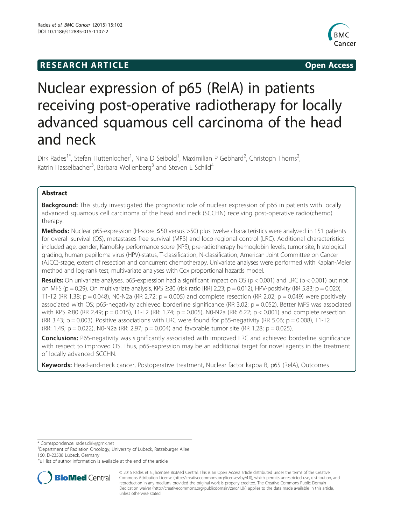## **RESEARCH ARTICLE Example 2014 The SEAR CH ACCESS**



# Nuclear expression of p65 (RelA) in patients receiving post-operative radiotherapy for locally advanced squamous cell carcinoma of the head and neck

Dirk Rades<sup>1\*</sup>, Stefan Huttenlocher<sup>1</sup>, Nina D Seibold<sup>1</sup>, Maximilian P Gebhard<sup>2</sup>, Christoph Thorns<sup>2</sup> , Katrin Hasselbacher<sup>3</sup>, Barbara Wollenberg<sup>3</sup> and Steven E Schild<sup>4</sup>

## Abstract

Background: This study investigated the prognostic role of nuclear expression of p65 in patients with locally advanced squamous cell carcinoma of the head and neck (SCCHN) receiving post-operative radio(chemo) therapy.

Methods: Nuclear p65-expression (H-score ≤50 versus >50) plus twelve characteristics were analyzed in 151 patients for overall survival (OS), metastases-free survival (MFS) and loco-regional control (LRC). Additional characteristics included age, gender, Karnofsky performance score (KPS), pre-radiotherapy hemoglobin levels, tumor site, histological grading, human papilloma virus (HPV)-status, T-classification, N-classification, American Joint Committee on Cancer (AJCC)-stage, extent of resection and concurrent chemotherapy. Univariate analyses were performed with Kaplan-Meier method and log-rank test, multivariate analyses with Cox proportional hazards model.

**Results:** On univariate analyses, p65-expression had a significant impact on OS ( $p < 0.001$ ) and LRC ( $p < 0.001$ ) but not on MFS (p = 0.29). On multivariate analysis, KPS  $\geq$ 80 (risk ratio [RR] 2.23; p = 0.012), HPV-positivity (RR 5.83; p = 0.020), T1-T2 (RR 1.38; p = 0.048), N0-N2a (RR 2.72; p = 0.005) and complete resection (RR 2.02; p = 0.049) were positively associated with OS; p65-negativity achieved borderline significance (RR 3.02;  $p = 0.052$ ). Better MFS was associated with KPS ≥80 (RR 2.49; p = 0.015), T1-T2 (RR: 1.74; p = 0.005), N0-N2a (RR: 6.22; p < 0.001) and complete resection (RR 3.43;  $p = 0.003$ ). Positive associations with LRC were found for p65-negativity (RR 5.06;  $p = 0.008$ ), T1-T2 (RR: 1.49;  $p = 0.022$ ), N0-N2a (RR: 2.97;  $p = 0.004$ ) and favorable tumor site (RR 1.28;  $p = 0.025$ ).

Conclusions: P65-negativity was significantly associated with improved LRC and achieved borderline significance with respect to improved OS. Thus, p65-expression may be an additional target for novel agents in the treatment of locally advanced SCCHN.

Keywords: Head-and-neck cancer, Postoperative treatment, Nuclear factor kappa B, p65 (RelA), Outcomes

\* Correspondence: [rades.dirk@gmx.net](mailto:rades.dirk@gmx.net) <sup>1</sup>

Department of Radiation Oncology, University of Lübeck, Ratzeburger Allee 160, D-23538 Lübeck, Germany

Full list of author information is available at the end of the article



<sup>© 2015</sup> Rades et al.; licensee BioMed Central. This is an Open Access article distributed under the terms of the Creative Commons Attribution License [\(http://creativecommons.org/licenses/by/4.0\)](http://creativecommons.org/licenses/by/4.0), which permits unrestricted use, distribution, and reproduction in any medium, provided the original work is properly credited. The Creative Commons Public Domain Dedication waiver [\(http://creativecommons.org/publicdomain/zero/1.0/](http://creativecommons.org/publicdomain/zero/1.0/)) applies to the data made available in this article, unless otherwise stated.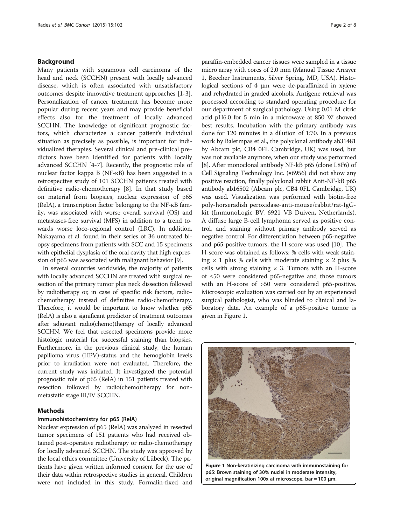#### <span id="page-1-0"></span>Background

Many patients with squamous cell carcinoma of the head and neck (SCCHN) present with locally advanced disease, which is often associated with unsatisfactory outcomes despite innovative treatment approaches [[1-3](#page-6-0)]. Personalization of cancer treatment has become more popular during recent years and may provide beneficial effects also for the treatment of locally advanced SCCHN. The knowledge of significant prognostic factors, which characterize a cancer patient's individual situation as precisely as possible, is important for individualized therapies. Several clinical and pre-clinical predictors have been identified for patients with locally advanced SCCHN [[4-7](#page-6-0)]. Recently, the prognostic role of nuclear factor kappa B (NF-ĸB) has been suggested in a retrospective study of 101 SCCHN patients treated with definitive radio-chemotherapy [\[8](#page-6-0)]. In that study based on material from biopsies, nuclear expression of p65 (RelA), a transcription factor belonging to the NF-ĸB family, was associated with worse overall survival (OS) and metastases-free survival (MFS) in addition to a trend towards worse loco-regional control (LRC). In addition, Nakayama et al. found in their series of 36 untreated biopsy specimens from patients with SCC and 15 specimens with epithelial dysplasia of the oral cavity that high expression of p65 was associated with malignant behavior [\[9\]](#page-7-0).

In several countries worldwide, the majority of patients with locally advanced SCCHN are treated with surgical resection of the primary tumor plus neck dissection followed by radiotherapy or, in case of specific risk factors, radiochemotherapy instead of definitive radio-chemotherapy. Therefore, it would be important to know whether p65 (RelA) is also a significant predictor of treatment outcomes after adjuvant radio(chemo)therapy of locally advanced SCCHN. We feel that resected specimens provide more histologic material for successful staining than biopsies. Furthermore, in the previous clinical study, the human papilloma virus (HPV)-status and the hemoglobin levels prior to irradiation were not evaluated. Therefore, the current study was initiated. It investigated the potential prognostic role of p65 (RelA) in 151 patients treated with resection followed by radio(chemo)therapy for nonmetastatic stage III/IV SCCHN.

#### Methods

#### Immunohistochemistry for p65 (RelA)

Nuclear expression of p65 (RelA) was analyzed in resected tumor specimens of 151 patients who had received obtained post-operative radiotherapy or radio-chemotherapy for locally advanced SCCHN. The study was approved by the local ethics committee (University of Lübeck). The patients have given written informed consent for the use of their data within retrospective studies in general. Children were not included in this study. Formalin-fixed and

paraffin-embedded cancer tissues were sampled in a tissue micro array with cores of 2.0 mm (Manual Tissue Arrayer 1, Beecher Instruments, Silver Spring, MD, USA). Histological sections of 4 μm were de-paraffinized in xylene and rehydrated in graded alcohols. Antigene retrieval was processed according to standard operating procedure for our department of surgical pathology. Using 0.01 M citric acid pH6.0 for 5 min in a microwave at 850 W showed best results. Incubation with the primary antibody was done for 120 minutes in a dilution of 1:70. In a previous work by Balermpas et al., the polyclonal antibody ab31481 by Abcam plc, CB4 0FL Cambridge, UK) was used, but was not available anymore, when our study was performed [[8\]](#page-6-0). After monoclonal antibody NF-kB p65 (clone L8F6) of Cell Signaling Technology Inc. (#6956) did not show any positive reaction, finally polyclonal rabbit Anti-NF-kB p65 antibody ab16502 (Abcam plc, CB4 0FL Cambridge, UK) was used. Visualization was performed with biotin-free poly-horseradish peroxidase-anti-mouse/rabbit/rat-IgGkit (ImmunoLogic BV, 6921 VB Duiven, Netherlands). A diffuse large B-cell lymphoma served as positive control, and staining without primary antibody served as negative control. For differentiation between p65-negative and p65-positive tumors, the H-score was used [\[10\]](#page-7-0). The H-score was obtained as follows: % cells with weak staining  $\times$  1 plus % cells with moderate staining  $\times$  2 plus % cells with strong staining  $\times$  3. Tumors with an H-score of ≤50 were considered p65-negative and those tumors with an H-score of >50 were considered p65-positive. Microscopic evaluation was carried out by an experienced surgical pathologist, who was blinded to clinical and laboratory data. An example of a p65-positive tumor is given in Figure 1.



Figure 1 Non-keratinizing carcinoma with immunostaining for p65: Brown staining of 30% nuclei in moderate intensity, original magnification 100x at microscope, bar = 100 μm.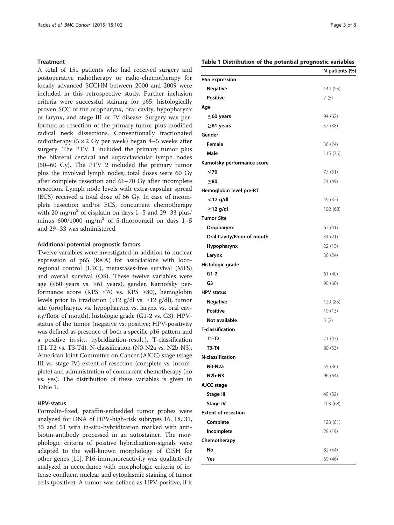#### **Treatment**

A total of 151 patients who had received surgery and postoperative radiotherapy or radio-chemotherapy for locally advanced SCCHN between 2000 and 2009 were included in this retrospective study. Further inclusion criteria were successful staining for p65, histologically proven SCC of the oropharynx, oral cavity, hypopharynx or larynx, and stage III or IV disease. Surgery was performed as resection of the primary tumor plus modified radical neck dissections. Conventionally fractionated radiotherapy  $(5 \times 2 \text{ Gy per week})$  began 4–5 weeks after surgery. The PTV 1 included the primary tumor plus the bilateral cervical and supraclavicular lymph nodes (50–60 Gy). The PTV 2 included the primary tumor plus the involved lymph nodes; total doses were 60 Gy after complete resection and 66–70 Gy after incomplete resection. Lymph node levels with extra-capsular spread (ECS) received a total dose of 66 Gy. In case of incomplete resection and/or ECS, concurrent chemotherapy with 20 mg/m<sup>2</sup> of cisplatin on days  $1-5$  and  $29-33$  plus/ minus  $600/1000$  mg/m<sup>2</sup> of 5-fluorouracil on days 1-5 and 29–33 was administered.

#### Additional potential prognostic factors

Twelve variables were investigated in addition to nuclear expression of p65 (RelA) for associations with locoregional control (LRC), metastases-free survival (MFS) and overall survival (OS). These twelve variables were age (≤60 years vs. ≥61 years), gender, Karnofsky performance score (KPS  $\leq 70$  vs. KPS  $\geq 80$ ), hemoglobin levels prior to irradiation (<12 g/dl vs.  $\geq$ 12 g/dl), tumor site (oropharynx vs. hypopharynx vs. larynx vs. oral cavity/floor of mouth), histologic grade (G1-2 vs. G3), HPVstatus of the tumor (negative vs. positive; HPV-positivity was defined as presence of both a specific p16-pattern and a positive in-situ hybridization-result.), T-classification (T1-T2 vs. T3-T4), N-classification (N0-N2a vs. N2b-N3), American Joint Committee on Cancer (AJCC) stage (stage III vs. stage IV) extent of resection (complete vs. incomplete) and administration of concurrent chemotherapy (no vs. yes). The distribution of these variables is given in Table 1.

#### HPV-status

Formalin-fixed, paraffin-embedded tumor probes were analyzed for DNA of HPV-high-risk subtypes 16, 18, 31, 33 and 51 with in-situ-hybridization marked with antibiotin-antibody processed in an autostainer. The morphologic criteria of positive hybridization-signals were adapted to the well-known morphology of CISH for other genes [[11](#page-7-0)]. P16-immunoreactivity was qualitatively analyzed in accordance with morphologic criteria of intense confluent nuclear and cytoplasmic staining of tumor cells (positive). A tumor was defined as HPV-positive, if it

### Table 1 Distribution of the potential prognostic variables

|                             | N patients (%) |
|-----------------------------|----------------|
| P65 expression              |                |
| <b>Negative</b>             | 144 (95)       |
| <b>Positive</b>             | 7(5)           |
| Age                         |                |
| $\leq$ 60 years             | 94 (62)        |
| $\geq$ 61 years             | 57 (38)        |
| Gender                      |                |
| <b>Female</b>               | 36 (24)        |
| Male                        | 115 (76)       |
| Karnofsky performance score |                |
| $\leq 70$                   | 77 (51)        |
| $\geq 80$                   | 74 (49)        |
| Hemoglobin level pre-RT     |                |
| $<$ 12 g/dl                 | 49 (32)        |
| $\geq$ 12 g/dl              | 102 (68)       |
| <b>Tumor Site</b>           |                |
| Oropharynx                  | 62 (41)        |
| Oral Cavity/Floor of mouth  | 31(21)         |
| Hypopharynx                 | 22 (15)        |
| Larynx                      | 36 (24)        |
| Histologic grade            |                |
| $G1-2$                      | 61 (40)        |
| G3                          | 90 (60)        |
| <b>HPV status</b>           |                |
| <b>Negative</b>             | 129 (85)       |
| <b>Positive</b>             | 19 (13)        |
| Not available               | 3(2)           |
| <b>T-classification</b>     |                |
| $T1-T2$                     | 71 (47)        |
| T3-T4                       | 80 (53)        |
| <b>N-classification</b>     |                |
| N0-N2a                      | 55 (36)        |
| <b>N2b-N3</b>               | 96 (64)        |
| AJCC stage                  |                |
| <b>Stage III</b>            | 48 (32)        |
| <b>Stage IV</b>             | 103 (68)       |
| <b>Extent of resection</b>  |                |
| Complete                    | 123 (81)       |
| Incomplete                  | 28 (19)        |
| Chemotherapy                |                |
| No                          | 82 (54)        |
| Yes                         | 69 (46)        |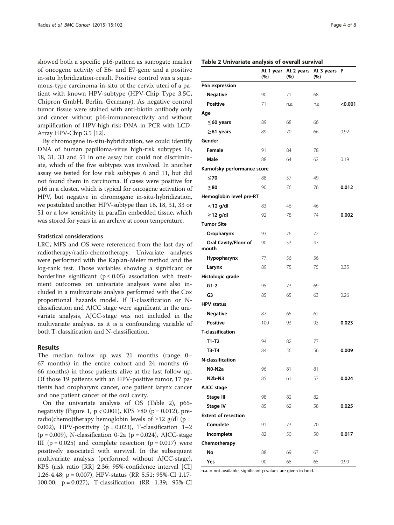showed both a specific p16-pattern as surrogate marker of oncogene activity of E6- and E7-gene and a positive in-situ hybridization-result. Positive control was a squamous-type carcinoma-in-situ of the cervix uteri of a patient with known HPV-subtype (HPV-Chip Type 3.5C, Chipron GmbH, Berlin, Germany). As negative control tumor tissue were stained with anti-biotin antibody only and cancer without p16-immunoreactivity and without amplification of HPV-high-risk-DNA in PCR with LCD-Array HPV-Chip 3.5 [\[12\]](#page-7-0).

By chromogene in-situ-hybridization, we could identify DNA of human papilloma-virus high-risk subtypes 16, 18, 31, 33 and 51 in one assay but could not discriminate, which of the five subtypes was involved. In another assay we tested for low risk subtypes 6 and 11, but did not found them in carcinoma. If cases were positive for p16 in a cluster, which is typical for oncogene activation of HPV, but negative in chromogene in-situ-hybridization, we postulated another HPV-subtype than 16, 18, 31, 33 or 51 or a low sensitivity in paraffin embedded tissue, which was stored for years in an archive at room temperature.

#### Statistical considerations

LRC, MFS and OS were referenced from the last day of radiotherapy/radio-chemotherapy. Univariate analyses were performed with the Kaplan-Meier method and the log-rank test. Those variables showing a significant or borderline significant ( $p \le 0.05$ ) association with treatment outcomes on univariate analyses were also included in a multivariate analysis performed with the Cox proportional hazards model. If T-classification or Nclassification and AJCC stage were significant in the univariate analysis, AJCC-stage was not included in the multivariate analysis, as it is a confounding variable of both T-classification and N-classification.

#### Results

The median follow up was 21 months (range 0– 67 months) in the entire cohort and 24 months (6– 66 months) in those patients alive at the last follow up. Of those 19 patients with an HPV-positive tumor, 17 patients had oropharynx cancer, one patient larynx cancer and one patient cancer of the oral cavity.

On the univariate analysis of OS (Table 2), p65- negativity (Figure [1](#page-1-0),  $p$  < 0.001), KPS ≥80 ( $p$  = 0.012), preradio(chemo)therapy hemoglobin levels of  $\geq$ 12 g/dl (p = 0.002), HPV-positivity ( $p = 0.023$ ), T-classification 1–2  $(p = 0.009)$ , N-classification 0-2a  $(p = 0.024)$ , AJCC-stage III ( $p = 0.025$ ) and complete resection ( $p = 0.017$ ) were positively associated with survival. In the subsequent multivariate analysis (performed without AJCC-stage), KPS (risk ratio [RR] 2.36; 95%-confidence interval [CI] 1.26-4.48; p = 0.007), HPV-status (RR 5.51; 95%-CI 1.17- 100.00; p = 0.027), T-classification (RR 1.39; 95%-CI

|                               | At 1 year<br>(%) | At 2 years<br>(%) | At 3 years<br>(%) | P       |
|-------------------------------|------------------|-------------------|-------------------|---------|
| P65 expression                |                  |                   |                   |         |
| <b>Negative</b>               | 90               | 71                | 68                |         |
| <b>Positive</b>               | 71               | n.a.              | n.a.              | < 0.001 |
| Age                           |                  |                   |                   |         |
| $\leq$ 60 years               | 89               | 68                | 66                |         |
| $\geq$ 61 years               | 89               | 70                | 66                | 0.92    |
| Gender                        |                  |                   |                   |         |
| <b>Female</b>                 | 91               | 84                | 78                |         |
| Male                          | 88               | 64                | 62                | 0.19    |
| Karnofsky performance score   |                  |                   |                   |         |
| $\leq 70$                     | 88               | 57                | 49                |         |
| $\geq 80$                     | 90               | 76                | 76                | 0.012   |
| Hemoglobin level pre-RT       |                  |                   |                   |         |
| $<$ 12 g/dl                   | 83               | 46                | 46                |         |
| ≥12 g/dl                      | 92               | 78                | 74                | 0.002   |
| <b>Tumor Site</b>             |                  |                   |                   |         |
| Oropharynx                    | 93               | 76                | 72                |         |
| Oral Cavity/Floor of<br>mouth | 90               | 53                | 47                |         |
| Hypopharynx                   | 77               | 56                | 56                |         |
| Larynx                        | 89               | 75                | 75                | 0.35    |
| Histologic grade              |                  |                   |                   |         |
| $G1-2$                        | 95               | 73                | 69                |         |
| G3                            | 85               | 65                | 63                | 0.26    |
| <b>HPV status</b>             |                  |                   |                   |         |
| <b>Negative</b>               | 87               | 65                | 62                |         |
| <b>Positive</b>               | 100              | 93                | 93                | 0.023   |
| <b>T-classification</b>       |                  |                   |                   |         |
| T1-T2                         | 94               | 82                | 77                |         |
| T3-T4                         | 84               | 56                | 56                | 0.009   |
| N-classification              |                  |                   |                   |         |
| $NO-N2a$                      | 96               | 81                | 81                |         |
| <b>N2b-N3</b>                 | 85               | 61                | 57                | 0.024   |
| AJCC stage                    |                  |                   |                   |         |
| Stage III                     | 98               | 82                | 82                |         |
| Stage IV                      | 85               | 62                | 58                | 0.025   |
| <b>Extent of resection</b>    |                  |                   |                   |         |
| Complete                      | 91               | 73                | 70                |         |
| Incomplete                    | 82               | 50                | 50                | 0.017   |
| Chemotherapy                  |                  |                   |                   |         |
| No                            | 88               | 69                | 67                |         |
| Yes                           | 90               | 68                | 65                | 0.99    |

n.a. = not available; significant p-values are given in bold.

#### Table 2 Univariate analysis of overall survival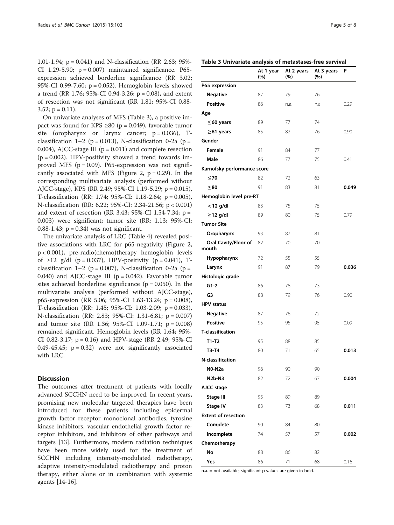1.01-1.94; p = 0.041) and N-classification (RR 2.63; 95%- CI 1.29-5.90;  $p = 0.007$ ) maintained significance. P65expression achieved borderline significance (RR 3.02; 95%-CI 0.99-7.60; p = 0.052). Hemoglobin levels showed a trend (RR 1.76; 95%-CI 0.94-3.26;  $p = 0.08$ ), and extent of resection was not significant (RR 1.81; 95%-CI 0.88- 3.52;  $p = 0.11$ ).

On univariate analyses of MFS (Table 3), a positive impact was found for KPS ≥80 (p = 0.049), favorable tumor site (oropharynx or larynx cancer;  $p = 0.036$ ), Tclassification 1–2 ( $p = 0.013$ ), N-classification 0-2a ( $p =$ 0.004), AJCC-stage III ( $p = 0.011$ ) and complete resection  $(p = 0.002)$ . HPV-positivity showed a trend towards improved MFS ( $p = 0.09$ ). P65-expression was not signifi-cantly associated with MFS (Figure [2](#page-5-0),  $p = 0.29$ ). In the corresponding multivariate analysis (performed without AJCC-stage), KPS (RR 2.49; 95%-CI 1.19-5.29; p = 0.015), T-classification (RR: 1.74; 95%-CI: 1.18-2.64; p = 0.005), N-classification (RR: 6.22; 95%-CI: 2.34-21.56; p < 0.001) and extent of resection (RR 3.43; 95%-CI 1.54-7.34; p = 0.003) were significant; tumor site (RR: 1.13; 95%-CI: 0.88-1.43;  $p = 0.34$ ) was not significant.

The univariate analysis of LRC (Table [4](#page-5-0)) revealed positive associations with LRC for p65-negativity (Figure [2](#page-5-0), p < 0.001), pre-radio(chemo)therapy hemoglobin levels of ≥12 g/dl (p = 0.037), HPV-positivity (p = 0.041), Tclassification 1–2 ( $p = 0.007$ ), N-classification 0-2a ( $p =$ 0.040) and AJCC-stage III ( $p = 0.042$ ). Favorable tumor sites achieved borderline significance ( $p = 0.050$ ). In the multivariate analysis (performed without AJCC-stage), p65-expression (RR 5.06; 95%-CI 1.63-13.24; p = 0.008), T-classification (RR: 1.45; 95%-CI: 1.03-2.09; p = 0.033), N-classification (RR: 2.83; 95%-CI: 1.31-6.81; p = 0.007) and tumor site (RR 1.36; 95%-CI 1.09-1.71; p = 0.008) remained significant. Hemoglobin levels (RR 1.64; 95%- CI 0.82-3.17;  $p = 0.16$ ) and HPV-stage (RR 2.49; 95%-CI 0.49-45.45;  $p = 0.32$ ) were not significantly associated with LRC.

#### **Discussion**

The outcomes after treatment of patients with locally advanced SCCHN need to be improved. In recent years, promising new molecular targeted therapies have been introduced for these patients including epidermal growth factor receptor monoclonal antibodies, tyrosine kinase inhibitors, vascular endothelial growth factor receptor inhibitors, and inhibitors of other pathways and targets [[13](#page-7-0)]. Furthermore, modern radiation techniques have been more widely used for the treatment of SCCHN including intensity-modulated radiotherapy, adaptive intensity-modulated radiotherapy and proton therapy, either alone or in combination with systemic agents [[14-16\]](#page-7-0).

|                               | At 1 year<br>$(\%)$ | At 2 years<br>$(\%)$ | At 3 years<br>(%) | Ρ     |
|-------------------------------|---------------------|----------------------|-------------------|-------|
| P65 expression                |                     |                      |                   |       |
| <b>Negative</b>               | 87                  | 79                   | 76                |       |
| <b>Positive</b>               | 86                  | n.a.                 | n.a.              | 0.29  |
| Age                           |                     |                      |                   |       |
| $\leq$ 60 years               | 89                  | 77                   | 74                |       |
| $\geq$ 61 years               | 85                  | 82                   | 76                | 0.90  |
| Gender                        |                     |                      |                   |       |
| Female                        | 91                  | 84                   | 77                |       |
| Male                          | 86                  | 77                   | 75                | 0.41  |
| Karnofsky performance score   |                     |                      |                   |       |
| $\leq 70$                     | 82                  | 72                   | 63                |       |
| $\geq 80$                     | 91                  | 83                   | 81                | 0.049 |
| Hemoglobin level pre-RT       |                     |                      |                   |       |
| $<$ 12 g/dl                   | 83                  | 75                   | 75                |       |
| ≥12 g/dl                      | 89                  | 80                   | 75                | 0.79  |
| <b>Tumor Site</b>             |                     |                      |                   |       |
| Oropharynx                    | 93                  | 87                   | 81                |       |
| Oral Cavity/Floor of<br>mouth | 82                  | 70                   | 70                |       |
| Hypopharynx                   | 72                  | 55                   | 55                |       |
| Larynx                        | 91                  | 87                   | 79                | 0.036 |
| Histologic grade              |                     |                      |                   |       |
| $G1-2$                        | 86                  | 78                   | 73                |       |
| G3                            | 88                  | 79                   | 76                | 0.90  |
| <b>HPV</b> status             |                     |                      |                   |       |
| <b>Negative</b>               | 87                  | 76                   | 72                |       |
| <b>Positive</b>               | 95                  | 95                   | 95                | 0.09  |
| <b>T-classification</b>       |                     |                      |                   |       |
| $T1-T2$                       | 95                  | 88                   | 85                |       |
| T3-T4                         | 80                  | 71                   | 65                | 0.013 |
| N-classification              |                     |                      |                   |       |
| NO-N2a                        | 96                  | 90                   | 90                |       |
| <b>N2b-N3</b>                 | 82                  | 72                   | 67                | 0.004 |
| AJCC stage                    |                     |                      |                   |       |
| <b>Stage III</b>              | 95                  | 89                   | 89                |       |
| <b>Stage IV</b>               | 83                  | 73                   | 68                | 0.011 |
| <b>Extent of resection</b>    |                     |                      |                   |       |
| Complete                      | 90                  | 84                   | 80                |       |
| Incomplete                    | 74                  | 57                   | 57                | 0.002 |
| Chemotherapy                  |                     |                      |                   |       |
| No                            | 88                  | 86                   | 82                |       |
| Yes                           | 86                  | 71                   | 68                | 0.16  |

n.a. = not available; significant p-values are given in bold.

#### Table 3 Univariate analysis of metastases-free survival

 $\overline{a}$  years and  $\overline{a}$ 

 $\overline{a}$   $\overline{a}$   $\overline{a}$ 

At 1 years of the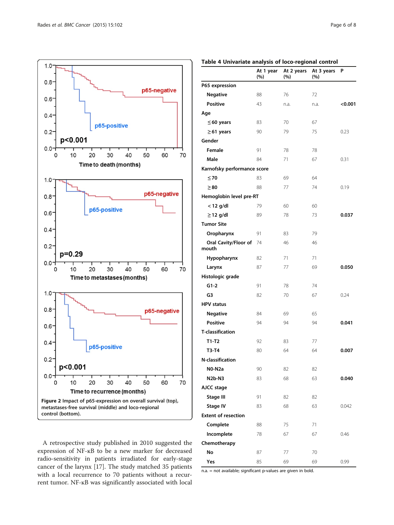<span id="page-5-0"></span>

A retrospective study published in 2010 suggested the expression of NF-ĸB to be a new marker for decreased radio-sensitivity in patients irradiated for early-stage cancer of the larynx [[17\]](#page-7-0). The study matched 35 patients with a local recurrence to 70 patients without a recurrent tumor. NF-ĸB was significantly associated with local

|                               | At 1 year<br>(%) | At 2 years<br>(%) | At 3 years<br>$(\%)$ | P       |
|-------------------------------|------------------|-------------------|----------------------|---------|
| P65 expression                |                  |                   |                      |         |
| <b>Negative</b>               | 88               | 76                | 72                   |         |
| <b>Positive</b>               | 43               | n.a.              | n.a.                 | < 0.001 |
| Age                           |                  |                   |                      |         |
| $\leq$ 60 years               | 83               | 70                | 67                   |         |
| $\geq$ 61 years               | 90               | 79                | 75                   | 0.23    |
| Gender                        |                  |                   |                      |         |
| Female                        | 91               | 78                | 78                   |         |
| Male                          | 84               | 71                | 67                   | 0.31    |
| Karnofsky performance score   |                  |                   |                      |         |
| $\leq 70$                     | 83               | 69                | 64                   |         |
| $\geq 80$                     | 88               | 77                | 74                   | 0.19    |
| Hemoglobin level pre-RT       |                  |                   |                      |         |
| $<$ 12 g/dl                   | 79               | 60                | 60                   |         |
| $\geq$ 12 g/dl                | 89               | 78                | 73                   | 0.037   |
| <b>Tumor Site</b>             |                  |                   |                      |         |
| Oropharynx                    | 91               | 83                | 79                   |         |
| Oral Cavity/Floor of<br>mouth | 74               | 46                | 46                   |         |
| Hypopharynx                   | 82               | 71                | 71                   |         |
| Larynx                        | 87               | 77                | 69                   | 0.050   |
| Histologic grade              |                  |                   |                      |         |
| $G1-2$                        | 91               | 78                | 74                   |         |
| G3                            | 82               | 70                | 67                   | 0.24    |
| <b>HPV</b> status             |                  |                   |                      |         |
| <b>Negative</b>               | 84               | 69                | 65                   |         |
| <b>Positive</b>               | 94               | 94                | 94                   | 0.041   |
| <b>T-classification</b>       |                  |                   |                      |         |
| $T1-T2$                       | 92               | 83                | 77                   |         |
| T3-T4                         | 80               | 64                | 64                   | 0.007   |
| <b>N-classification</b>       |                  |                   |                      |         |
| NO-N2a                        | 90               | 82                | 82                   |         |
| <b>N2b-N3</b>                 | 83               | 68                | 63                   | 0.040   |
| AJCC stage                    |                  |                   |                      |         |
| <b>Stage III</b>              | 91               | 82                | 82                   |         |
| <b>Stage IV</b>               | 83               | 68                | 63                   | 0.042   |
| <b>Extent of resection</b>    |                  |                   |                      |         |
| Complete                      | 88               | 75                | 71                   |         |
| Incomplete                    | 78               | 67                | 67                   | 0.46    |
| Chemotherapy                  |                  |                   |                      |         |
| No                            | 87               | 77                | 70                   |         |
| Yes                           | 85               | 69                | 69                   | 0.99    |

Table 4 Univariate analysis of loco-regional control

n.a. = not available; significant p-values are given in bold.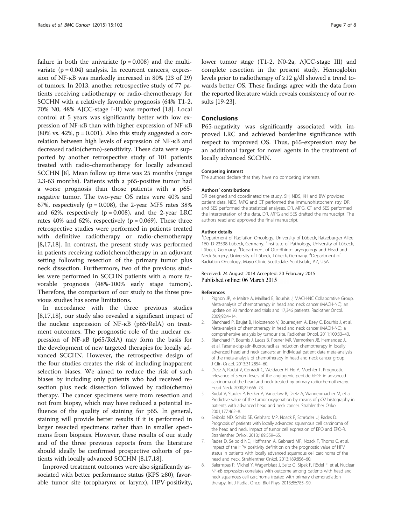<span id="page-6-0"></span>failure in both the univariate  $(p = 0.008)$  and the multivariate  $(p = 0.04)$  analysis. In recurrent cancers, expression of NF-ĸB was markedly increased in 80% (23 of 29) of tumors. In 2013, another retrospective study of 77 patients receiving radiotherapy or radio-chemotherapy for SCCHN with a relatively favorable prognosis (64% T1-2, 70% N0, 48% AJCC-stage I-II) was reported [\[18](#page-7-0)]. Local control at 5 years was significantly better with low expression of NF-ĸB than with higher expression of NF-ĸB (80% vs. 42%,  $p = 0.001$ ). Also this study suggested a correlation between high levels of expression of NF-ĸB and decreased radio(chemo)-sensitivity. These data were supported by another retrospective study of 101 patients treated with radio-chemotherapy for locally advanced SCCHN [8]. Mean follow up time was 25 months (range 2.3-63 months). Patients with a p65-positive tumor had a worse prognosis than those patients with a p65 negative tumor. The two-year OS rates were 40% and 67%, respectively ( $p = 0.008$ ), the 2-year MFS rates 38% and 62%, respectively ( $p = 0.008$ ), and the 2-year LRC rates 40% and 62%, respectively ( $p = 0.069$ ). These three retrospective studies were performed in patients treated with definitive radiotherapy or radio-chemotherapy [8,[17,18\]](#page-7-0). In contrast, the present study was performed in patients receiving radio(chemo)therapy in an adjuvant setting following resection of the primary tumor plus neck dissection. Furthermore, two of the previous studies were performed in SCCHN patients with a more favorable prognosis (48%-100% early stage tumors). Therefore, the comparison of our study to the three previous studies has some limitations.

In accordance with the three previous studies [8,[17,18\]](#page-7-0), our study also revealed a significant impact of the nuclear expression of NF-ĸB (p65/RelA) on treatment outcomes. The prognostic role of the nuclear expression of NF-ĸB (p65/RelA) may form the basis for the development of new targeted therapies for locally advanced SCCHN. However, the retrospective design of the four studies creates the risk of including inapparent selection biases. We aimed to reduce the risk of such biases by including only patients who had received resection plus neck dissection followed by radio(chemo) therapy. The cancer specimens were from resection and not from biopsy, which may have reduced a potential influence of the quality of staining for p65. In general, staining will provide better results if it is performed in larger resected specimens rather than in smaller specimens from biopsies. However, these results of our study and of the three previous reports from the literature should ideally be confirmed prospective cohorts of patients with locally advanced SCCHN [8[,17,18](#page-7-0)].

Improved treatment outcomes were also significantly associated with better performance status (KPS ≥80), favorable tumor site (oropharynx or larynx), HPV-positivity, lower tumor stage (T1-2, N0-2a, AJCC-stage III) and complete resection in the present study. Hemoglobin levels prior to radiotherapy of  $\geq$ 12 g/dl showed a trend towards better OS. These findings agree with the data from the reported literature which reveals consistency of our results [[19](#page-7-0)-[23](#page-7-0)].

#### **Conclusions**

P65-negativity was significantly associated with improved LRC and achieved borderline significance with respect to improved OS. Thus, p65-expression may be an additional target for novel agents in the treatment of locally advanced SCCHN.

#### Competing interest

The authors declare that they have no competing interests.

#### Authors' contributions

DR designed and coordinated the study. SH, NDS, KH and BW provided patient data. NDS, MPG and CT performed the immunohistochemistry. DR and SES performed the statistical analyses. DR, MPG, CT and SES performed the interpretation of the data. DR, MPG and SES drafted the manuscript. The authors read and approved the final manuscript.

#### Author details

<sup>1</sup>Department of Radiation Oncology, University of Lübeck, Ratzeburger Allee 160, D-23538 Lübeck, Germany. <sup>2</sup>Institute of Pathology, University of Lübeck Lübeck, Germany. <sup>3</sup>Department of Oto-Rhino-Laryngology and Head and Neck Surgery, University of Lübeck, Lübeck, Germany. <sup>4</sup>Department of Radiation Oncology, Mayo Clinic Scottsdale, Scottsdale, AZ, USA.

#### Received: 24 August 2014 Accepted: 20 February 2015 Published online: 06 March 2015

#### References

- 1. Pignon JP, le Maître A, Maillard E, Bourhis J, MACH-NC Collaborative Group. Meta-analysis of chemotherapy in head and neck cancer (MACH-NC): an update on 93 randomised trials and 17,346 patients. Radiother Oncol. 2009;92:4–14.
- 2. Blanchard P, Baujat B, Holostenco V, Bourredjem A, Baey C, Bourhis J, et al. Meta-analysis of chemotherapy in head and neck cancer (MACH-NC): a comprehensive analysis by tumour site. Radiother Oncol. 2011;100:33–40.
- 3. Blanchard P, Bourhis J, Lacas B, Posner MR, Vermorken JB, Hernandez JJ, et al. Taxane-cisplatin-fluorouracil as induction chemotherapy in locally advanced head and neck cancers: an individual patient data meta-analysis of the meta-analysis of chemotherapy in head and neck cancer group. J Clin Oncol. 2013;31:2854–60.
- 4. Dietz A, Rudat V, Conradt C, Weidauer H, Ho A, Moehler T. Prognostic relevance of serum levels of the angiogenic peptide bFGF in advanced carcinoma of the head and neck treated by primary radiochemotherapy. Head Neck. 2000;22:666–73.
- 5. Rudat V, Stadler P, Becker A, Vanselow B, Dietz A, Wannenmacher M, et al. Predictive value of the tumor oxygenation by means of pO2 histography in patients with advanced head and neck cancer. Strahlenther Onkol. 2001;177:462–8.
- 6. Seibold ND, Schild SE, Gebhard MP, Noack F, Schröder U, Rades D. Prognosis of patients with locally advanced squamous cell carcinoma of the head and neck. Impact of tumor cell expression of EPO and EPO-R. Strahlenther Onkol. 2013;189:559–65.
- 7. Rades D, Seibold ND, Hoffmann A, Gebhard MP, Noack F, Thorns C, et al. Impact of the HPV positivity definition on the prognostic value of HPV status in patients with locally advanced squamous cell carcinoma of the head and neck. Strahlenther Onkol. 2013;189:856–60.
- 8. Balermpas P, Michel Y, Wagenblast J, Seitz O, Sipek F, Rödel F, et al. Nuclear NF-κB expression correlates with outcome among patients with head and neck squamous cell carcinoma treated with primary chemoradiation therapy. Int J Radiat Oncol Biol Phys. 2013;86:785–90.